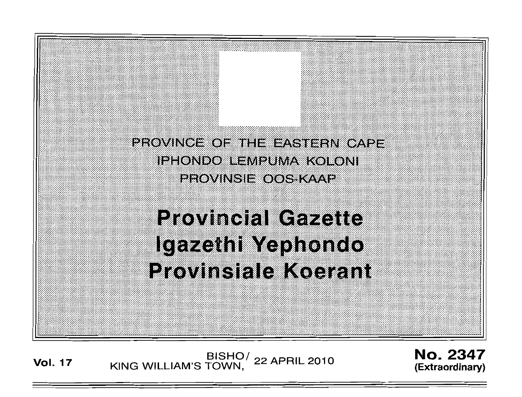

**Vol. <sup>17</sup>** BISHO/ KING WILLIAM'S TOWN, 22 APRIL 2010

No. 2347 **(Extraordinary)**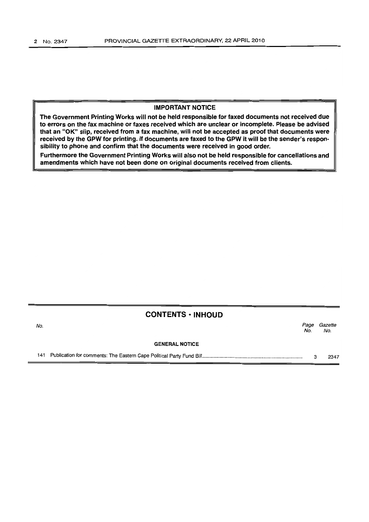### **IMPORTANT NOTICE**

**The Government Printing Works will not be held responsible for faxed documents not received due to errors on the fax machine or faxes received which are unclear or incomplete. Please be advised that an** "OK" **slip, received from a fax machine, will not be accepted as proof that documents were received by the GPW for printing. If documents are faxed to the GPW it will be the sender's responsibility to phone and confirm that the documents were received in good order.**

**Furthermore the Government Printing Works will also not be held responsible for cancellations and amendments which have not been done on original documents received from clients.**

#### **CONTENTS ·INHOUD**

| No. |                       | Page<br>No. | Gazette<br>No. |  |
|-----|-----------------------|-------------|----------------|--|
|     | <b>GENERAL NOTICE</b> |             |                |  |
| 141 |                       |             | 2347           |  |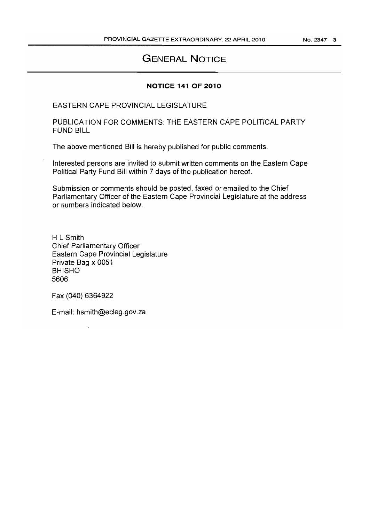## **GENERAL NOTICE**

### **NOTICE 141 OF 2010**

EASTERN CAPE PROVINCIAL LEGISLATURE

PUBLICATION FOR COMMENTS: THE EASTERN CAPE POLITICAL PARTY FUND BILL

The above mentioned Bill is hereby published for public comments.

Interested persons are invited to submit written comments on the Eastern Cape Political Party Fund Bill within 7 days of the publication hereof.

Submission or comments should be posted, faxed or emailed to the Chief Parliamentary Officer of the Eastern Cape Provincial Legislature at the address or numbers indicated below.

H L Smith Chief Parliamentary Officer Eastern Cape Provincial Legislature Private Bag x 0051 BHISHO 5606

Fax (040) 6364922

E-mail: hsmith@ecleg.gov.za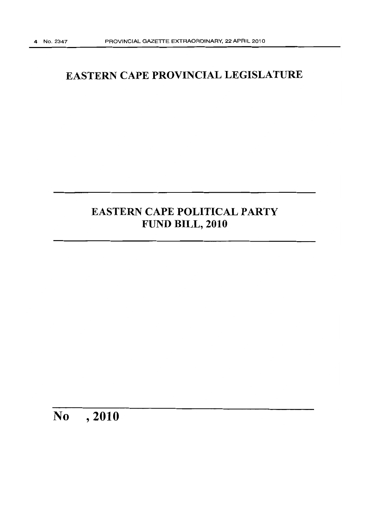# **EASTERN CAPE PROVINCIAL LEGISLATURE**

# **EASTERN CAPE POLITICAL PARTY FUND BILL, 2010**

# **No ,2010**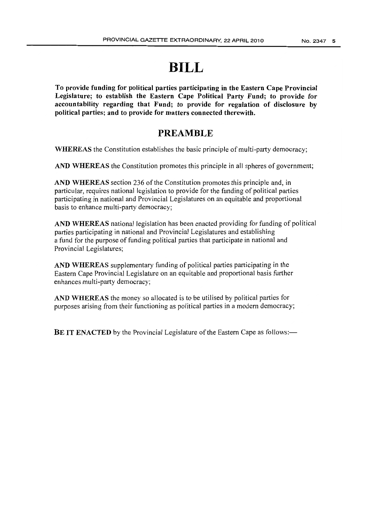# **BILL**

To provide funding for political parties participating in the Eastern Cape Provincial Legislature; to establish the Eastern Cape Political Party Fund; to provide for accountability regarding that Fund; to provide for regulation of disclosure by political parties; and to provide for matters connected therewith.

### **PREAMBLE**

WHEREAS the Constitution establishes the basic principle of multi-party democracy;

AND WHEREAS the Constitution promotes this principle in all spheres of government;

AND WHEREAS section 236 of the Constitution promotes this principle and, in particular, requires national legislation to provide for the funding of political parties participating in national and Provincial Legislatures on an equitable and proportional basis to enhance multi-party democracy;

AND WHEREAS national legislation has been enacted providing for funding of political parties participating in national and Provincial Legislatures and establishing a fund for the purpose of funding political parties that participate in national and Provincial Legislatures;

AND WHEREAS supplementary funding of political parties participating in the Eastern Cape Provincial Legislature on an equitable and proportional basis further enhances multi-party democracy;

AND WHEREAS the money so allocated is to be utilised by political parties for purposes arising from their functioning as political parties in a modern democracy;

BE IT ENACTED by the Provincial Legislature of the Eastern Cape as follows:—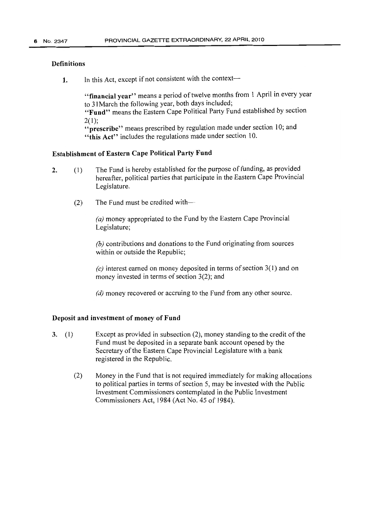### **Definitions**

1. In this Act, except if not consistent with the context-

"financial year" means a period of twelve months from 1 April in every year to 31March the following year, both days included;

"Fund" means the Eastern Cape Political Party Fund established by section  $2(1)$ :

"prescribe" means prescribed by regulation made under section 10; and "this Act" includes the regulations made under section 10.

### Establishment of Eastern Cape Political Party Fund

- 2. (1) The Fund is hereby established for the purpose of funding, as provided hereafter, political parties that participate in the Eastern Cape Provincial Legislature.
	- (2) The Fund must be credited with-

*(a)* money appropriated to the Fund by the Eastern Cape Provincial Legislature;

*(b)* contributions and donations to the Fund originating from sources within or outside the Republic;

 $(c)$  interest earned on money deposited in terms of section  $3(1)$  and on money invested in terms of section  $3(2)$ ; and

*(d)* money recovered or accruing to the Fund from any other source.

### Deposit and investment of money of Fund

- 3. (I) Except as provided in subsection (2), money standing to the credit ofthe Fund must be deposited in a separate bank account opened by the Secretary of the Eastern Cape Provincial Legislature with a bank registered in the Republic.
	- (2) Money in the Fund that is not required immediately for making allocations to political parties in terms of section 5, may be invested with the Public Investment Commissioners contemplated in the Public Investment Commissioners Act, 1984 (Act No. 45 of 1984).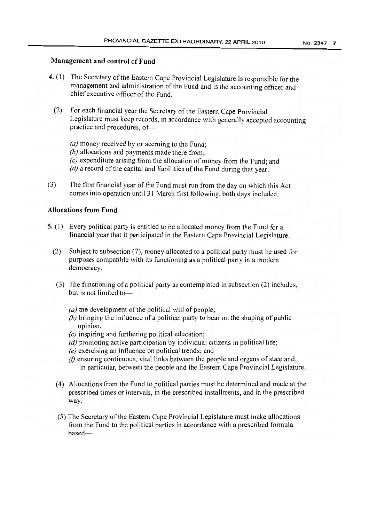### Management and control of Fund

- 4. (1) The Secretary of the Eastern Cape Provincial Legislature is responsible for the management and administration of the Fund and is the accounting officer and chief executive officer of the Fund.
	- (2) For each financial year the Secretary of the Eastern Cape Provincial Legislature must keep records, in accordance with generally accepted accounting practice and procedures, of-
		- *(a)* money received by or accruing to the Fund;
		- *(b)* allocations and payments made there from;
		- *(c)* expenditure arising from the allocation of money from the Fund; and
		- *(d)* a record of the capital and liabilities of the Fund during that year.
- $(3)$  The first financial year of the Fund must run from the day on which this Act comes into operation until 31 March first following, both days included.

### Allocations from Fund

- 5. (I) Every political party is entitled to be allocated money from the Fund for a financial year that it participated in the Eastern Cape Provincial Legislature.
	- (2) Subject to subsection (7), money allocated to a political party must be used for purposes compatible with its functioning as a political party in a modern democracy.
	- (3) The functioning of a political party as contemplated in subsection (2) includes, but is not limited to-
		- *(a)* the development of the political will of people;
		- *(b)* bringing the influence of a political party to bear on the shaping of public opinion;
		- *(c)* inspiring and furthering political education;
		- $(d)$  promoting active participation by individual citizens in political life;
		- *(e)* exercising an influence on political trends; and
		- $(f)$  ensuring continuous, vital links between the people and organs of state and, in particular, between the people and the Eastern Cape Provincial Legislature.
	- (4) Allocations from the Fund to political parties must be determined and made at the prescribed times or intervals, in the prescribed installments, and in the prescribed way.
	- (5) The Secretary of the Eastern Cape Provincial Legislature must make allocations from the Fund to the political parties in accordance with a prescribed formula based-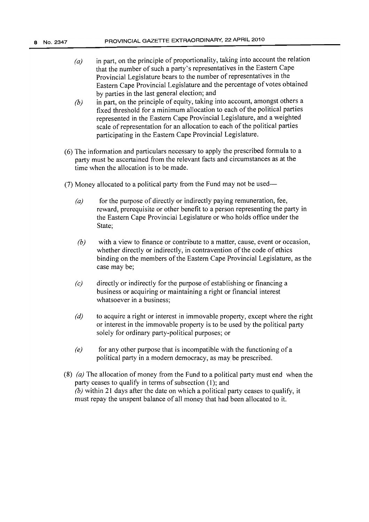- *(a)* in part, on the principle of proportionality, taking into account the relation that the number of such a party's representatives in the Eastern Cape Provincial Legislature bears to the number of representatives in the Eastern Cape Provincial Legislature and the percentage of votes obtained by parties in the last general election; and
- *(b)* in part, on the principle of equity, taking into account, amongst others a fixed threshold for a minimum allocation to each of the political parties represented in the Eastern Cape Provincial Legislature, and a weighted scale of representation for an allocation to each of the political parties participating in the Eastern Cape Provincial Legislature.
- (6) The information and particulars necessary to apply the prescribed formula to a party must be ascertained from the relevant facts and circumstances as at the time when the allocation is to be made.
- (7) Money allocated to a political party from the Fund may not be used-
	- *(a)* for the purpose of directly or indirectly paying remuneration, fee, reward, prerequisite or other benefit to a person representing the party in the Eastern Cape Provincial Legislature or who holds office under the State;
	- *(b)* with a view to finance or contribute to a matter, cause, event or occasion, whether directly or indirectly, in contravention of the code of ethics binding on the members of the Eastern Cape Provincial Legislature, as the case may be;
	- *(c)* directly or indirectly for the purpose of establishing or financing a business or acquiring or maintaining a right or financial interest whatsoever in a business;
	- *(d)* to acquire a right or interest in immovable property, except where the right or interest in the immovable property is to be used by the political party solely for ordinary party-political purposes; or
	- *(e)* for any other purpose that is incompatible with the functioning of a political party in a modern democracy, as may be prescribed.
- (8) *(a)* The allocation of money from the Fund to a political party must end when the party ceases to qualify in terms of subsection  $(1)$ ; and *(b)* within 21 days after the date on which a political party ceases to qualify, it must repay the unspent balance of all money that had been allocated to it.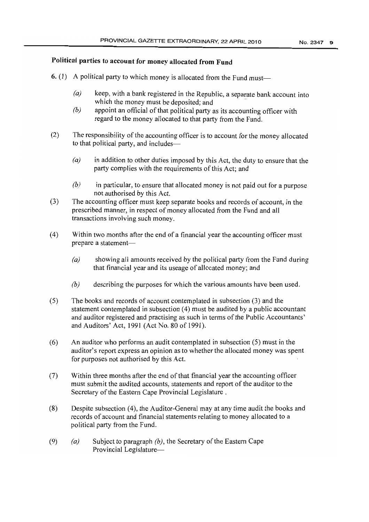### **Political parties to account for money allocated from Fund**

- 6. (l) A political party to which money is allocated from the Fund must-
	- $(a)$  keep, with a bank registered in the Republic, a separate bank account into which the money must be deposited; and
	- *(b)* appoint an official of that political party as its accounting officer with regard to the money allocated to that party from the Fund.
- (2) The responsibility of the accounting officer is to account for the money allocated to that political party, and includes-
	- *(a)* in addition to other duties imposed by this Act, the duty to ensure that the party complies with the requirements of this Act; and
	- *(b)* in particular, to ensure that allocated money is not paid out for a purpose not authorised by this Act.
- (3) The accounting officer must keep separate books and records of account, in the prescribed manner, in respect of money allocated from the Fund and all transactions involving such money.
- (4) Within two months after the end of a financial year the accounting officer must prepare a statement-
	- $(a)$  showing all amounts received by the political party from the Fund during that financial year and its useage of allocated money; and
	- *(b)* describing the purposes for which the various amounts have been used.
- (5) The books and records of account contemplated in subsection (3) and the statement contemplated in subsection (4) must be audited by a public accountant and auditor registered and practising as such in terms of the Public Accountants' and Auditors' Act, 1991 (Act No. 80 of 1991).
- (6) An auditor who performs an audit contemplated in subsection (5) must in the auditor's report express an opinion as to whether the allocated money was spent for purposes not authorised by this Act.
- $(7)$  Within three months after the end of that financial year the accounting officer must submit the audited accounts, statements and report of the auditor to the Secretary of the Eastern Cape Provincial Legislature.
- (8) Despite subsection (4), the Auditor-General may at any time audit the books and records of account and financial statements relating to money allocated to a political party from the Fund.
- (9) *(a)* Subject to paragraph *(b)*, the Secretary of the Eastern Cape Provincial Legislature-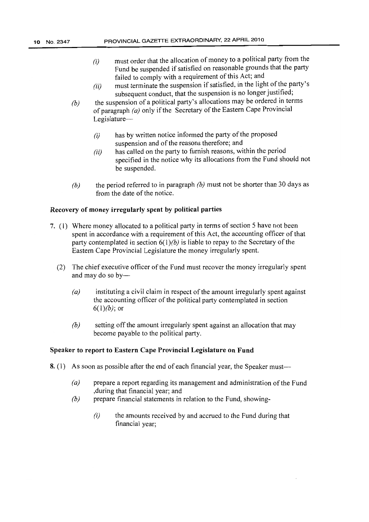- *(i)* must order that the allocation of money to a political party from the Fund be suspended if satisfied on reasonable grounds that the party failed to comply with a requirement of this Act; and
- $(ii)$  must terminate the suspension if satisfied, in the light of the party's subsequent conduct, that the suspension is no longer justified;
- *(b)* the suspension of a political party's allocations may be ordered in terms of paragraph  $(a)$  only if the Secretary of the Eastern Cape Provincial Legislature-
	- $(i)$  has by written notice informed the party of the proposed suspension and of the reasons therefore; and
	- *(ii)* has called on the party to furnish reasons, within the period specified in the notice why its allocations from the Fund should not be suspended.
- *(b)* the period referred to in paragraph *(b)* must not be shorter than 30 days as from the date of the notice.

### Recovery of money irregularly spent by political parties

- 7. (1) Where money allocated to a political party in terms of section 5 have not been spent in accordance with a requirement of this Act, the accounting officer of that party contemplated in section  $6(1)$ *(b)* is liable to repay to the Secretary of the Eastern Cape Provincial Legislature the money irregularly spent.
	- (2) The chief executive officer of the Fund must recover the money irregularly spent and may do so by-
		- (a) instituting a civil claim in respect of the amount irregularly spent against the accounting officer of the political party contemplated in section  $6(1)(b)$ ; or
		- *(b)* setting off the amount irregularly spent against an allocation that may become payable to the political party.

### Speaker to report to Eastern Cape Provincial Legislature on Fund

- 8. (1) As soon as possible after the end of each financial year, the Speaker must-
	- *(a)* prepare a report regarding its management and administration ofthe Fund ,during that financial year; and
	- *(b)* prepare financial statements in relation to the Fund, showing-
		- $(i)$  the amounts received by and accrued to the Fund during that financial year;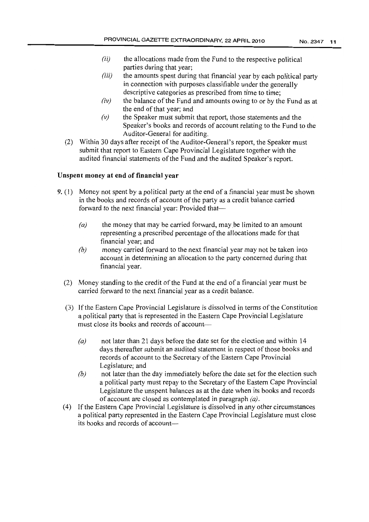- $(ii)$  the allocations made from the Fund to the respective political parties during that year;
- *(iii)* the amounts spent during that financial year by each political party in connection with purposes classifiable under the generally descriptive categories as prescribed from time to time;
- $(iv)$  the balance of the Fund and amounts owing to or by the Fund as at the end of that year; and
- *(v)* the Speaker must submit that report, those statements and the Speaker's books and records of account relating to the Fund to the Auditor-General for auditing.
- (2) Within 30 days after receipt of the Auditor-General's report, the Speaker must submit that report to Eastern Cape Provincial Legislature together with the audited financial statements of the Fund and the audited Speaker's report.

### Unspent money at end of financial year

- 9. (1) Money not spent by a political party at the end of a financial year must be shown in the books and records of account of the party as a credit balance carried forward to the next financial year: Provided that-
	- *(a)* the money that may be carried forward, maybe limited to an amount representing a prescribed percentage of the allocations made for that financial year; and
	- *(b)* money carried forward to the next financial year may not be taken into account in determining an allocation to the party concerned during that financial year.
	- (2) Money standing to the credit of the Fund at the end of a financial year must be carried forward to the next financial year as a credit balance.
	- (3) If the Eastern Cape Provincial Legislature is dissolved in terms of the Constitution a political party that is represented in the Eastern Cape Provincial Legislature must close its books and records of account-
		- *(a)* not later than 21 days before the date set for the election and within 14 days thereafter submit an audited statement in respect of those books and records of account to the Secretary of the Eastern Cape Provincial Legislature; and
		- *(b)* not later than the day immediately before the date set for the election such a political party must repay to the Secretary of the Eastern Cape Provincial Legislature the unspent balances as at the date when its books and records of account are closed as contemplated in paragraph *(a).*
	- (4) lfthe Eastern Cape Provincial Legislature is dissolved in any other circumstances a political party represented in the Eastern Cape Provincial Legislature must close its books and records of account-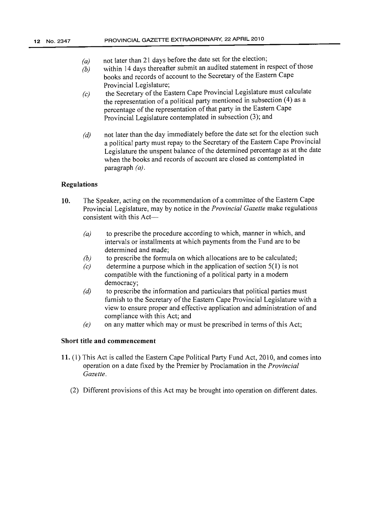- *(a)* not later than 21 days before the date set for the election;
- *(b)* within 14 days thereafter submit an audited statement in respect of those books and records of account to the Secretary of the Eastern Cape Provincial Legislature;
- *(c)* the Secretary of the Eastern Cape Provincial Legislature must calculate the representation of a political party mentioned in subsection (4) as a percentage of the representation of that party in the Eastern Cape Provincial Legislature contemplated in subsection (3); and
- *(d)* not later than the day immediately before the date set for the election such a political party must repay to the Secretary of the Eastern Cape Provincial Legislature the unspent balance of the determined percentage as at the date when the books and records of account are closed as contemplated in paragraph *(a).*

### Regulations

- 10. The Speaker, acting on the recommendation of a committee of the Eastern Cape Provincial Legislature, may by notice in the *Provincial Gazette* make regulations consistent with this Act-
	- *(a)* to prescribe the procedure according to Which, manner in which, and intervals or installments at which payments from the Fund are to be determined and made;
	- *(b)* to prescribe the formula on which allocations are to be calculated;
	- $(c)$  determine a purpose which in the application of section  $5(1)$  is not compatible with the functioning of a political party in a modern democracy;
	- $(d)$  to prescribe the information and particulars that political parties must furnish to the Secretary of the Eastern Cape Provincial Legislature with a view to ensure proper and effective application and administration of and compliance with this Act; and
	- *(e)* on any matter which may or must be prescribed in terms of this Act;

### Short title and commencement

- 11. (1) This Act is called the Eastern Cape Political Party Fund Act, 2010, and comes into operation on a date fixed by the Premier by Proclamation in the *Provincial Gazette.*
	- (2) Different provisions of this Act may be brought into operation on different dates.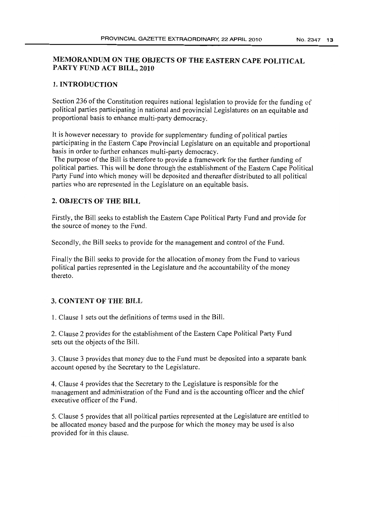### MEMORANDUM ON THE OBJECTS OF THE EASTERN CAPE POLITICAL PARTY FUND ACT BILL, 2010

### 1. INTRODUCTION

Section 236 of the Constitution requires national legislation to provide for the funding of political parties participating in national and provincial Legislatures on an equitable and proportional basis to enhance multi-party democracy.

It is however necessary to provide for supplementary funding of political parties participating in the Eastern Cape Provincial Legislature on an equitable and proportional basis in order to further enhances multi-party democracy.

The purpose of the Bill is therefore to provide a framework for the further funding of political parties. This will be done through the establishment of the Eastern Cape Political Party Fund into which money will be deposited and thereafter distributed to all political parties who are represented in the Legislature on an equitable basis.

### 2. OBJECTS OF THE BILL

Firstly, the Bill seeks to establish the Eastern Cape Political Party Fund and provide for the source of money to the Fund.

Secondly, the Bill seeks to provide for the management and control of the Fund.

Finally the Bill seeks to provide for the allocation of money from the Fund to various political parties represented in the Legislature and the accountability of the money thereto.

#### 3. CONTENT OF THE BILL

1. Clause I sets out the definitions ofterms used in the Bill.

2. Clause 2 provides for the establishment of the Eastern Cape Political Party Fund sets out the objects of the Bill.

3. Clause 3 provides that money due to the Fund must be deposited into a separate bank account opened by the Secretary to the Legislature.

4. Clause 4 provides that the Secretary to the Legislature is responsible for the management and administration of the Fund and is the accounting officer and the chief executive officer of the Fund.

5. Clause 5 provides that all political parties represented at the Legislature are entitled to be allocated money based and the purpose for which the money may be used is also provided for in this clause.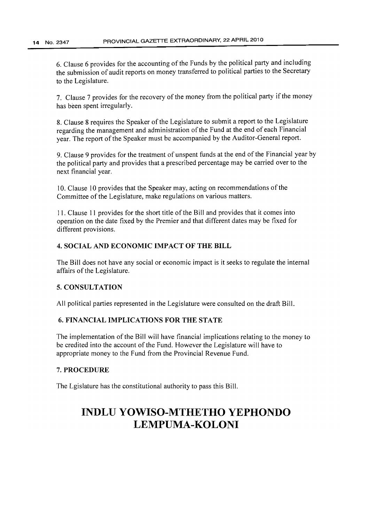6. Clause 6 provides for the accounting of the Funds by the political party and including the submission of audit reports on money transferred to political parties to the Secretary to the Legislature.

7. Clause 7 provides for the recovery of the money from the political party if the money has been spent irregularly.

8. Clause 8 requires the Speaker of the Legislature to submit a report to the Legislature regarding the management and administration of the Fund at the end of each Financial year. The report of the Speaker must be accompanied by the Auditor-General report.

9. Clause 9 provides for the treatment of unspent funds at the end of the Financial year by the political party and provides that a prescribed percentage may be carried over to the next financial year.

10. Clause 10 provides that the Speaker may, acting on recommendations of the Committee of the Legislature, make regulations on various matters.

11. Clause II provides for the short title ofthe Bill and provides that it comes into operation on the date fixed by the Premier and that different dates may be fixed for different provisions.

### 4. SOCIAL AND ECONOMIC IMPACT OF THE BILL

The Bill does not have any social or economic impact is it seeks to regulate the internal affairs of the Legislature.

### 5. CONSULTATION

All political parties represented in the Legislature were consulted on the draft Bill.

### 6. FINANCIAL IMPLICATIONS FOR THE STATE

The implementation of the Bill will have financial implications relating to the money to be credited into the account of the Fund. However the Legislature will have to appropriate money to the Fund from the Provincial Revenue Fund.

### 7. PROCEDURE

The Lgislature has the constitutional authority to pass this Bill.

# **INDLU YOWISO-MTHETHO YEPHONDO LEMPUMA-KOLONI**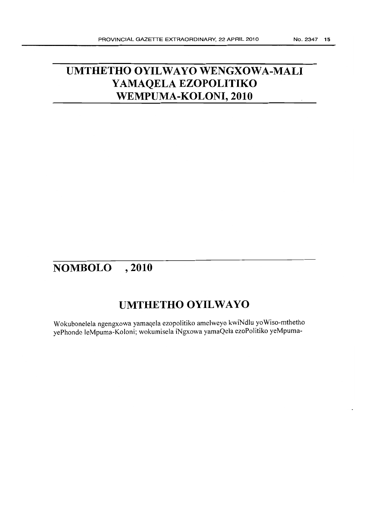# **UMTHETHO OYILWAYO WENGXOWA-MALI YAMAQELA EZOPOLITIKO WEMPUMA-KOLONI, 2010**

# **NOMBOLO , 2010**

# **UMTHETHO OYILWAYO**

Wokubonelela ngengxowa yamaqela ezopolitiko amelweyo kwiNdlu yoWiso-mthetho yePhondo leMpuma-Koloni; wokumisela iNgxowa yamaQela ezoPolitiko yeMpuma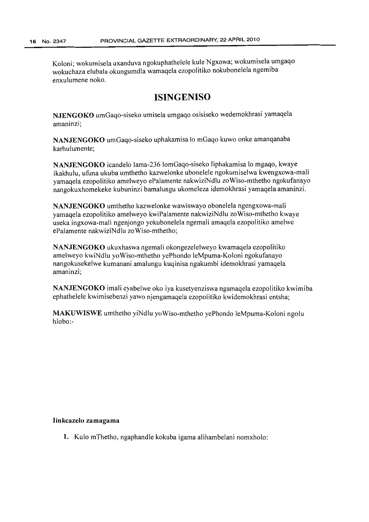Koloni; wokumisela uxanduva ngokuphathelele kule Ngxowa; wokumisela umgaqo wokuchaza elubala okungumdla wamaqela ezopolitiko nokubonelela ngemiba enxulumene noko.

## **ISINGENISO**

NJENGOKO umGaqo-siseko umisela umgaqo osisiseko wedemokhrasi yamaqela amaninzi;

NANJENGOKO umGaqo-siseko uphakamisa 10 mGaqo kuwo onke amanqanaba karhu lumente:

NANJENGOKO icandelo lama-236 lomGaqo-siseko liphakamisa lo mgaqo, kwaye ikakhulu, ufuna ukuba umthetho kazwelonke ubonelele ngokumiselwa kwengxowa-mali yamaqela ezopolitiko amelweyo ePalamente nakwiziNdlu zoWiso-mthetho ngokufanayo nangokuxhomekeke kubuninzi bamalungu ukomeleza idemokhrasi yamaqela amaninzi.

NANJENGOKO umthetho kazwelonke wawiswayo obonelela ngengxowa-maJi yamaqela ezopolitiko amelweyo kwiPalamente nakwiziNdlu zoWiso-mthetho kwaye useka ingxowa-mali ngenjongo yokubonelela ngemali amaqela ezopolitiko amelwe ePalamente nakwiziNdlu zoWiso-mthetho;

NANJENGOKO ukuxhaswa ngemali okongezelelweyo kwamaqela ezopolitiko amelweyo kwiNdlu yoWiso-mthetho yePhondo leMpuma-Koloni ngokufanayo nangokusekelwe kumanani amalungu kuqinisa ngakumbi idemokhrasi yamaqela amaninzi;

NANJENGOKO imali eyabelwe oko iya kusetyenziswa ngamaqela ezopolitiko kwimiba ephathelele kwimisebenzi yawo njengamaqela ezopolitiko kwidemokhrasi entsha;

MAKUWISWE umthetho yiNdlu yoWiso-mthetho yePhondo leMpuma-Koloni ngolu hlobo:-

#### Iinkcazelo zamagama

1. Kulo mThetho, ngaphandle kokuba igama alihambelani nomxholo: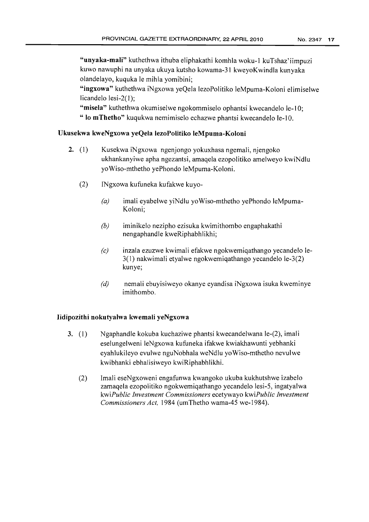"unyaka-mali" kuthethwa ithuba eliphakathi komhla woku-I kuTshaz'iimpuzi kuwo nawuphi na unyaka ukuya kutsho kowama-31 kweyoKwindla kunyaka olandelayo, kuquka Ie mihla yomibini;

"ingxowa" kuthethwa iNgxowa yeQela lezoPolitiko leMpuma-Koloni elimiselwe licandelo lesi-2(1);

"misela" kuthethwa okumiselwe ngokommiselo ophantsi kwecandelo le-10; " lo mThetho" kuqukwa nemimiselo echazwe phantsi kwecandelo le-10.

### Ukusekwa kweNgxowa yeQela lezoPolitiko leMpuma-Koloni

- 2.  $(1)$ Kusekwa iNgxowa ngenjongo yokuxhasa ngemali, njengoko ukhankanyiwe apha ngezantsi, amaqela ezopolitiko amelweyo kwiNdlu ycWiso-mthetho yePhondo leMpuma-Koloni.
	- (2) INgxowa kufuneka kufakwe kuyo-
		- *(a)* imali eyabelwe yiNdlu yoWiso-mthetho yePhondo leMpuma-Koloni;
		- *(b)* iminikelo nezipho ezisuka kwimithombo engaphakathi nengaphandle kweRiphabhlikhi;
		- *(c)* inzala ezuzwe kwimali efakwe ngokwemiqathango yecandelo le-3( I) nakwimali etyalwe ngokwemiqathango yecandelo le-3(2) kunye;
		- *(d)* nemali ebuyisiweyo okanye eyandisa iNgxowa isuka kweminye imithombo.

### lidipozithi nokutyalwa kwemali yeNgxowa

- 3. (I) Ngaphandle kokuba kuchaziwe phantsi kwecandelwana le-(2), imali eselungelweni leNgxowa kufuneka ifakwe kwiakhawunti yebhanki eyahlukileyo evulwe nguNobhala weNdlu yoWiso-mthetho nevulwe kwibhanki ebhalisiweyo kwiRiphabhlikhi.
	- (2) Imali eseNgxoweni engafunwa kwangoko ukuba kukhutshwe izabelo zamaqela ezopolitiko ngokwemiqathango yecandelo lesi-5, ingatyalwa *kwiPublic Investment Commissioners* ecetywayo *kwiPublic Investment Commissioners Act,* 1984 (umThetho wama-45 we-1984).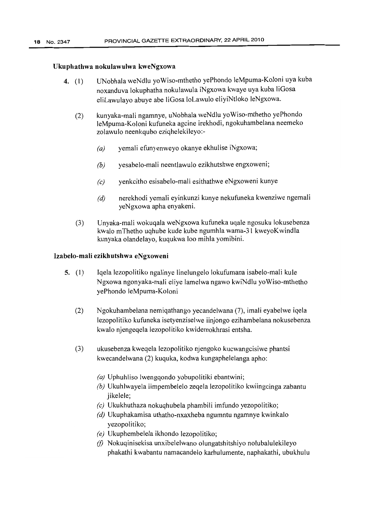#### Ukuphathwa nokulawulwa kweNgxowa

- 4. (1) UNobhala weNdlu yoWiso-mthetho yePhondo leMpuma-Koloni uya kuba noxanduva lokuphatha nokulawula iNgxowa kwaye uya kuba liGosa eliLawulayo abuye abe liGosa loLawulo eliyiNtloko leNgxowa.
	- (2) kunyaka-mali ngamnye, uNobhala weNdlu yoWiso-mthetho yePhondo leMpuma-Koloni kufuneka agcine irekhodi, ngokuhambelana neemeko zolawulo neenkqubo eziqhelekileyo:-
		- *(a)* yemali efunyenweyo okanye ekhulise iNgxowa;
		- *(b)* yesabelo-mali neentlawulo ezikhutshwe engxoweni;
		- *(c)* yenkcitho esisabelo-rnali esithathwe eNgxoweni kunye
		- *(d)* nerekhodi yemali eyinkunzi kunye nekufuneka kwenziwe ngemali yeNgxowa apha enyakeni.
	- (3) Unyaka-mali wokuqala weNgxowa kufuneka uqale ngosuku lokusebenza kwalo mThetho uqhube kude kube ngumhla wama-31 kweyoKwindla kunyaka olandelayo, kuqukwa 100 mihla yomibini.

#### Izabelo-mali ezikhutshwa eNgxoweni

- 5. (1) Iqela lezopolitiko ngalinye linelungelo lokufumana isabelo-rnali kule Ngxowa ngonyaka-mali eliye lamelwa ngawo kwiNdlu yoWiso-mthetho yePhondo JeMpuma-Koloni
	- (2) Ngokuhambelana nemiqathango yecandelwana (7), imali eyabelwe iqela lezopolitiko kufuneka isetyenziselwe iinjongo ezihambelana nokuscbenza kwalo njengeqela lezopolitiko kwidemokhrasi entsha.
	- (3) ukusebenza kweqela lezopolitiko njengoko kucwangcisiwe phantsi kwecandelwana (2) kuquka, kodwa kungaphelelanga apho:
		- *(a)* Uphuhliso lwengqondo yobupolitiki ebantwini;
		- *(b)* Ukuhlwayela iimpembelelo zeqela lezopolitiko kwiingcinga zabantu jikelele;
		- *(c)* Ukukhuthaza nokuqhubela phambili imfundo yezopolitiko;
		- *(d)* Ukuphakamisa uthatho-nxaxheba ngumntu ngamnye kwinkalo yezopolitiko;
		- *(e)* Ukuphembelela ikhondo lezopolitiko;
		- (f) Nokuqinisekisa unxibelelwano olungatshitshiyo nolubalulekileyo phakathi kwabantu namacandelo karhulumente, naphakathi, ubukhulu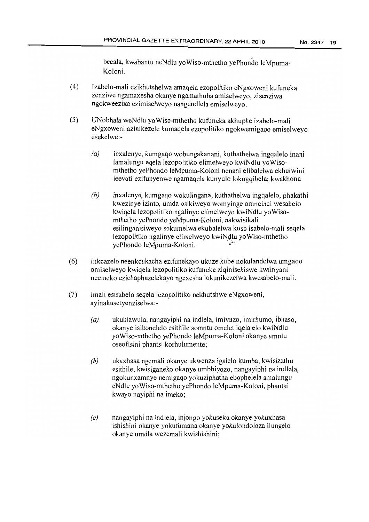becala, kwabantu neNdlu yoWiso-mthetho yePhondo leMpuma-Koloni.

- (4) Izabelo-mali ezikhutshelwa amaqela ezopolitiko eNgxoweni kufuneka zenziwe ngamaxesha okanye ngamathuba amiselweyo, zisenziwa ngokweezixa ezimiselweyo nangendlela emiselweyo.
- (5) UNobhala weNdlu yoWiso-mthetho kufuneka akhuphe izabelo-mali eNgxoweni azinikezele kumaqela ezopolitiko ngokwemigaqo emiselweyo esekelwe:-
	- *(a)* inxalenye, kumgaqo wobungakanani, kuthathelwa ingqaleJo inani lamalungu eqela lezopolitiko elimelweyo kwiNdlu yoWisomthetho yePhondo leMpuma-Koloni nenani elibalelwa ekhulwini leevoti ezifunyenwe ngamaqela kunyulo lokugqibela; kwakhona
	- *(b)* inxalenye, kumgaqo wokulingana, kuthathelwa ingqaJelo, phakathi kwezinye izinto, umda osikiweyo womyinge omncinci wesabelo kwiqela lezopolitiko ngalinye elimelweyo kwiNdiu yoWisomthetho yePhondo yeMpuma-Koloni, nakwisikali esilinganisiweyo sokumelwa ekubalelwa kuso isabelo-mali seqela lezopolitiko ngalinye elimelweyo kwibldlu yoWiso-mthetho yePhondo leMpuma-Koloni.
- (6) Inkcazelo neenkcukacha ezifunekayo ukuze kube nokulandelwa umgaqo omiselweyo kwiqela lezopolitiko kufuneka ziqinisekiswe kwiinyani neemeko ezichaphazelekayo ngexesha lokunikezelwa kwesabelo-rnali.
- (7) Imali esisabelo seqela lezopolitiko nekhutshwe eNgxoweni, ayinakusetyenziselwa:-
	- *(a)* ukuhlawula, nangayiphi na indlela, imivuzo, imirhumo, ibhaso, okanye isibonelelo esithile somntu omelet iqela elo kwiNdlu yoWiso-mthetho yePhondo leMpuma-Koloni okanye umntu oseofisini phantsi korhulumente;
	- *(b)* ukuxhasa ngemali okanye ukwenza igalelo kumba, kwisizathu esithile, kwisiganeko okanye umbhiyozo, nangayiphi na indlela, ngokunxamnye nemigaqo yokuziphatha ebophelela amalungu eNdlu yoWiso-mthetho yePhondo leMpuma-Koloni, phantsi kwayo nayiphi na imeko;
	- *(c)* nangayiphi na indlela, injongo yokuseka okanye yokuxhasa ishishini okanye yokufumana okanye yokulondoloza ilungelo okanye umdla wezemali kwishishini;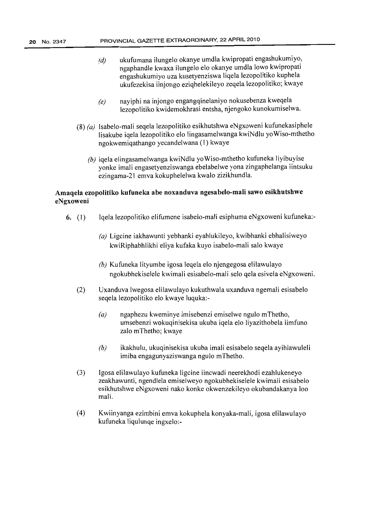- *(d)* ukufumana ilungelo okanye umdla kwipropati engashukumiyo, ngaphandle kwaxa ilungelo elo okanye umdla lowo kwipropati engashukumiyo uza kusetyenziswa liqela lezopolitiko kuphela ukufezekisa iinjongo eziqhelekileyo zeqela lezopolitiko; kwaye
- *(e)* nayiphi na injongo engangqinelaniyo nokusebenza kweqela lezopolitiko kwidemokhrasi entsha, njengoko kunokumiselwa.
- (8) *(a)* Isabelo-mali seqela lezopolitiko esikhutshwa eNgxoweni kufunekasiphele lisakube iqela lezopolitiko elo lingasamelwanga kwiNdlu yoWiso-mthetho ngokwemiqathango yecandelwana (l) kwaye
	- *(b)* iqela elingasamelwanga kwiNdlu yoWiso-mthetho kufuneka liyibuyise yonke imali engasetyenziswanga ebelabelwe yona zingaphelanga iintsuku ezingama-21 emva kokuphelelwa kwalo zizikhundla.

### Amaqela ezopolitiko kufuneka abe noxanduva ngesabelo-mali sawo esikhutshwe eNgxoweni

- 6. (1) Iqela lezopolitiko elifumene isabelo-mali esiphuma eNgxoweni kufuneka:-
	- *(a)* Ligcine iakhawunti yebhanki eyahlukileyo, kwibhanki ebhalisiweyo kwiRiphabhlikhi eliya kufaka kuyo isabelo-mali salo kwaye
	- *(b)* Kufuneka lityumbe igosa leqela elo njengegosa elilawulayo ngokubhekiselele kwimali esisabelo-mali selo qela esivela eNgxoweni.
	- (2) Uxanduva Iwegosa elilawulayo kukuthwala uxanduva ngemali esisabelo seqela lezopoJitiko elo kwaye luquka:-
		- *(a)* ngaphezu kweminye imisebenzi emiselwe ngulo mThetho, umsebenzi wokuqinisekisa ukuba iqela elo liyazithobela iimfuno zalo mThetho; kwaye
		- *(b)* ikakhulu, ukuqinisekisa ukuba imali esisabelo seqela ayihlawuleli imiba engagunyaziswanga ngulo mThetho.
	- (3) Igosa elilawulayo kufuneka ligcine iincwadi neerekhodi ezahlukeneyo zeakhawunti, ngendlela emiselweyo ngokubhekiselele kwimali esisabelo esikhutshwe eNgxoweni nako konke okwenzekileyo okubandakanya 100 mali.
	- (4) Kwiinyanga ezimbini emva kokuphela konyaka-mali, igosa elilawulayo kufuneka liqulunqe ingxelo:-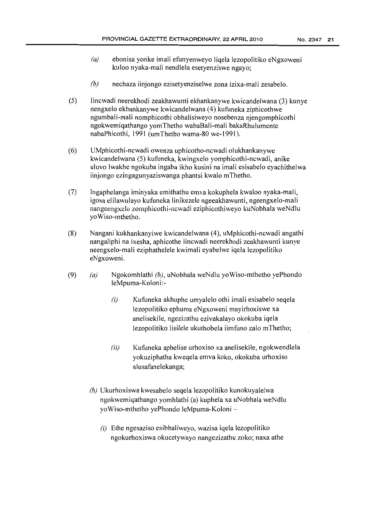- *(a)* ebonisa yonke imali efunyenweyo liqela lezopolitiko eNgxoweni kuloo nyaka-mali nendlela esetyenziswe ngayo;
- *(b)* nechaza iinjongo ezisetyenziselwe zona izixa-mali zesabelo.
- (5) Iincwadi neerekhodi zeakhawunti ekhankanywe kwicandelwana (3) kunye nengxelo ekhankanywe kwicandelwana (4) kufuneka ziphicothwe ngumbali-mali nomphicothi obhalisiweyo nosebenza njengomphicothi ngokwemiqathango yomThetho wabaBali-mali bakaRhulumente nabaPhicothi, 1991 (umThetho wama-80 we-1991).
- (6) UMphicothi-ncwadi owenza uphicotho-ncwadi olukhankanywe kwicandelwana (5) kufuneka, kwingxelo yomphicothi-ncwadi, anike uluvo lwakhe ngokuba ingaba ikho kusini na imali esisabelo eyachithelwa iinjongo ezingagunyaziswanga phantsi kwalo mThetho.
- (7) Ingaphelanga iminyaka emithathu emva kokuphela kwaloo nyaka-mali, igosa elilawulayo kufuneka linikezele ngeeakhawunti, ngeengxelo-mali nangeengxelo zornphicothi-ncwadi eziphicothiweyo kuNobhala weNdlu yoWiso-mthetho.
- (8) Nangani kukhankanyiwe kwicandelwana (4), uMphicothi-ncwadi angathi nangaliphi na ixesha, aphicothe iincwadi neerekhodi zeakhawunti kunye neengxelo-mali eziphathelele kwimali eyabelwe iqela lezopolitiko eNgxoweni.
- (9) *(a)* Ngokomhlathi *(b),* uNobhala weNdlu ycWiso-mthetho yePhondo leMpuma-Koloni:-
	- $(i)$  Kufuneka akhuphe umyalelo othi imali esisabelo seqela lezopolitiko ephuma eNgxoweni mayirhoxiswe xa anelisekile, ngezizathu ezivakalayo okokuba iqela lezopolitiko lisilele ukuthobela iimfuno zalo mThetho;
	- $(ii)$  Kufuneka aphelise urhoxiso xa anelisekile, ngokwendlela yokuziphatha kweqela emva koko, okokuba urhoxiso alusafanelekanga;
	- *(b)* Ukurhoxiswa kwesabelo seqela lezopolitiko kunokuyalelwa ngokwemiqathango yomhlathi (a) kuphela xa uNobhala weNdlu yoWiso-mthetho yePhondo leMpuma-Koloni -
		- $(i)$  Ethe ngesaziso esibhaliweyo, wazisa iqela lezopolitiko ngokurhoxiswa okucetywayo nangezizathu zoko; naxa athe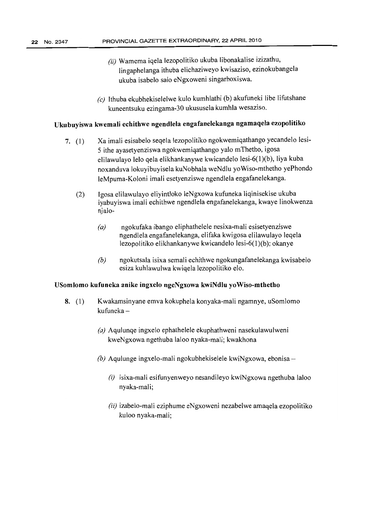- *(ii)* Wamema iqela lezopolitiko ukuba libonakalise izizathu, lingaphelanga ithuba elichaziweyo kwisaziso, ezinokubangela ukuba isabelo salo eNgxoweni singarhoxiswa.
- *(c)* Ithuba ekubhekiselelwe kulo kumhlathi (b) akufuneki libe Iifutshane kuneentsuku ezingama-30 ukususela kumhla wesaziso.

### Ukubuyiswa kwemaIi echithwe ngendleIa engafanelekanga ngamaqela ezopolitiko

- 7. (I) Xa imali esisabelo seqela lezopolitiko ngokwemiqathango yecandelo lesi-5 ithe ayasetyenziswa ngokwemiqathango yalo mThetho, igosa elilawulayo lelo qela elikhankanywe kwicandelo lesi-6(l)(b), liya kuba noxanduva lokuyibuyisela kuNobhala weNdlu yoWiso-mthetho yePhondo leMpuma-Koloni imali esetyenziswe ngendlela engafanelekanga.
	- (2) Igosa elilawulayo eliyintloko leNgxowa kufuneka liqinisekise ukuba iyabuyiswa imali echithwe ngendlela engafanelekanga, kwaye linokwenza njalo-
		- *(a)* ngokufaka ibango eliphathelele nesixa-mali esisetyenziswe ngendlela engafanelekanga, elifaka kwigosa elilawulayo leqela lezopolitiko elikhankanywe kwicandelo lesi-6(l)(b); okanye
		- *(b)* ngokutsala isixa semali echithwe ngokungafanelekanga kwisabelo esiza kuhlawulwa kwiqela lezopolitiko elo.

### USomlomo kufuneka anike ingxelo ngeNgxowa kwiNdlu yoWiso-mthetho

- 8. (1) Kwakamsinyane emva kokuphela konyaka-mali ngamnye, uSomlomo kufuneka –
	- *(a)* Aqulunqe ingxelo ephathelele ekuphathweni nasekulawulweni kweNgxowa ngethuba laloo nyaka-mali; kwakhona
	- $(b)$  Aqulunge ingxelo-mali ngokubhekiselele kwiNgxowa, ebonisa
		- $(i)$  isixa-mali esifunyenweyo nesandileyo kwiNgxowa ngethuba laloo nyaka-mali;
		- *(ii)* izabelo-mali eziphume eNgxoweni nezabelwe amaqela ezopolitiko kuloo nyaka-mali;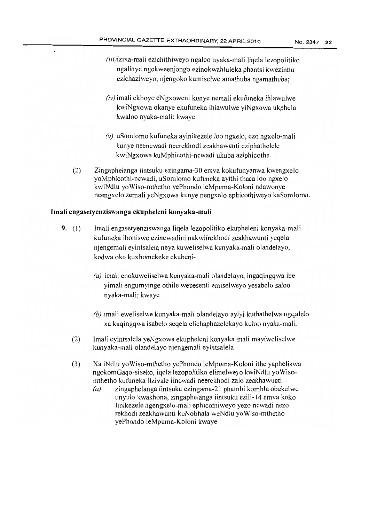- (iii)izixa-mali ezichithiweyo ngaloo nyaka-mali liqela lezopolitiko ngalinye ngokweenjongo ezinokwahluleka phantsi kwezintlu ezichaziweyo, njengoko kumiselwe amathuba ngamathuba;
- *(iv)* imali ekhoyo eNgxoweni kunye nemali ekufuneka ihlawulwe kwiNgxowa okanye ekufuneka ihlawulwe yiNgxowa ukphela kwaloo nyaka-mali; kwaye
- *(v)* uSomlomo kufuneka ayinikezele 100 ngxelo, ezo ngxelo-mali kunye neencwadi neerekhodi zeakhawunti eziphathelele kwiNgxowa kuMphicothi-ncwadi ukuba aziphicothe.
- (2) Zingaphelanga iintsuku ezingama-30 emva kokufunyanwa kwengxelo yoMphicothi-ncwadi, uSomlomo kufuneka ayithi thaca 100 ngxelo kwiNdlu yoWiso-mthetho yePhondo leMpuma-Koloni ndawonye neengxelo zemali yeNgxowa kunye nengxeJo ephicothiweyo kaSomlomo.

### Imali engasetyenziswanga ekupheleni konyaka-mali

- 9. (1) Imali engasetyenziswanga liqela lezopolitiko ekupheleni konyaka-mali kufuneka iboniswe ezincwadini nakwiirekhodi zeakhawunti yeqela njengemali eyintsalela neya kuweliselwa kunyaka-mali olandelayo; kodwa oko kuxhomekeke ekubeni-
	- *(a)* imali enokuweliselwa kunyaka-mali olandelayo, ingaqingqwa ibe yimali engumyinge othile wepesenti emiselweyo yesabelo saloo nyaka-mali; kwaye
	- *(b)* imali eweliselwe kunyaka-mali olandelayo ayiyi kuthathelwa ngqalelo xa kuqingqwa isabelo seqela elichaphazelekayo kuloo nyaka-mali.
	- (2) lmali eyintsalela yeNgxowa ekupheleni konyaka-mali mayiweliselwe kunyaka-mali olandelayo njengemali eyintsalela
	- (3) Xa iNdlu yoWiso-mthetho yePhondo leMpuma-Koloni ithe yapheliswa ngokomGaqo-siseko, iqela lezopolitiko elimelweyo kwiNdlu yoWisomthetho kufuneka lizivale iincwadi neerekhodi zalo zeakhawunti -
		- $(a)$  zingaphelanga iintsuku ezingama-21 phambi komhla obekelwe unyulo kwakhona, zingaphelanga iintsuku ezili-14 emva koko linikezele ngengxelo-mali ephicothiweyo yezo ncwadi nezo rekhodi zeakhawunti kuNobhala weNdlu yoWiso-mthetho yePhondo JeMpuma-Koloni kwaye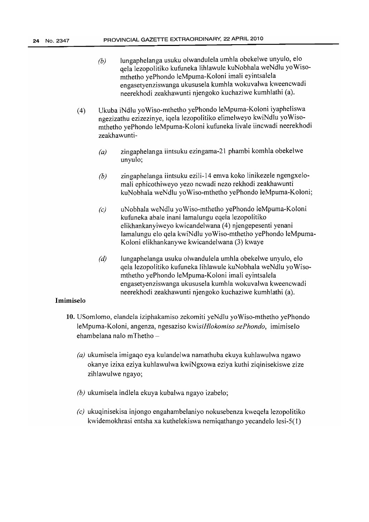- *(b)* lungaphelanga usuku olwandulela umhla obekelwe unyulo, elo qela lezopolitiko kufuneka lihlawule kuNobhala weNdlu yoWisomthetho yePhondo leMpuma-Koloni imali eyintsalela engasetyenziswanga ukususela kumhla wokuvalwa kweencwadi neerekhodi zeakhawunti njengoko kuchaziwe kumhlathi (a).
- (4) Ukuba iNdlu yoWiso-mthetho yePhondo leMpuma-Koloni iyapheliswa ngezizathu ezizezinye, iqela lezopolitiko elimelweyo kwiNdlu yoWisomthetho yePhondo leMpuma-Koloni kufuneka livale iincwadi neerekhodi zeakhawunti-
	- $(a)$  zingaphelanga iintsuku ezingama-21 phambi komhla obekelwe unyulo;
	- *(b)* zingaphelanga iintsuku ezili-14 emva koko linikezele ngengxelomali ephicothiweyo yezo ncwadi nezo rekhodi zeakhawunti kuNobhala weNdlu yoWiso-mthetho yePhondo leMpuma-Koloni;
	- *(c)* uNobhala weNdlu yoWiso-mthetho yePhondo leMpuma-Koloni kufuneka abale inani lamalungu eqela lezopolitiko elikhankanyiweyo kwicandelwana (4) njengepesenti yenani lamalungu elo qela kwiNdlu yoWiso-mthetho yePhondo leMpuma-Koloni elikhankanywe kwicandelwana (3) kwaye
	- $(d)$  Jungaphelanga usuku olwandulela umhla obekelwe unyulo, elo qela lezopolitiko kufuneka lihlawule kuNobhala weNdlu yoWisomthetho yePhondo leMpuma-Koloni imali eyintsalela engasetyenziswanga ukususela kumhla wokuvalwa kweencwadi neerekhodi zeakhawunti njengoko kuchaziwe kumhlathi (a).

### Imimiselo

- 10. USomlomo, elandela iziphakamiso zekomiti yeNdlu yoWiso-mthetho yePhondo leMpuma-Koloni, angenza, ngesaziso *kwisiHlokomiso sePhondo,* imimiselo ehambelana nalo mThetho -
	- *(a)* ukumisela imigaqo eya kulandelwa namathuba ekuya kuhlawulwa ngawo okanye izixa eziya kuhlawulwa kwiNgxowa eziya kuthi ziqinisekiswe zize zihlawulwe ngayo;
	- *(b)* ukumisela indlela ekuya kubalwa ngayo izabelo;
	- *(c)* ukuqinisekisa injongo engahambelaniyo nokusebenza kweqela lezopolitiko kwidemokhrasi entsha xa kuthelekiswa nemiqathango yecandelo lesi-5(1)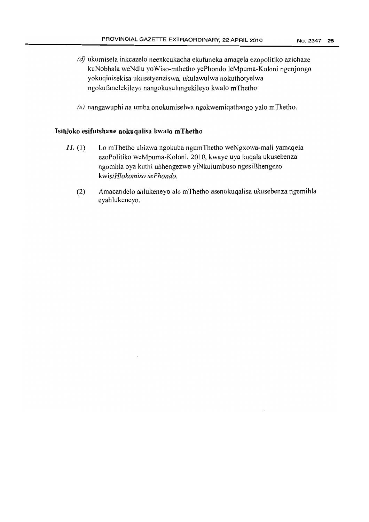- (d) ukumisela inkcazelo neenkcukacha ekufuneka amaqela ezopolitiko azichaze kuNobhala weNdlu yoWiso-mthetho yePhondo leMpuma-Koloni ngenjongo yokuqinisekisa ukusetyenziswa, ukulawulwa nokuthotyelwa ngokufanelekileyo nangokusulungekileyo kwalo mThetho
- *(e)* nangawuphi na umba onokumiselwa ngokwemiqathango yalo mThetho.

### **Isihloko esifutshane nokuqaJisa kwalo mThetho**

- $II.$  (1) Lo mThetho ubizwa ngokuba ngumThetho weNgxowa-mali yamaqela ezoPolitiko weMpuma-Koloni, 2010, kwaye uya kuqala ukusebenza ngomhla oya kuthi ubhengezwe yiNkulumbuso ngesiBhengezo *kwisiHlokomiso sePhondo.*
	- (2) Amacandelo ahlukeneyo alo mThetho asenokuqalisa ukusebenza ngemihla eyahlukeneyo.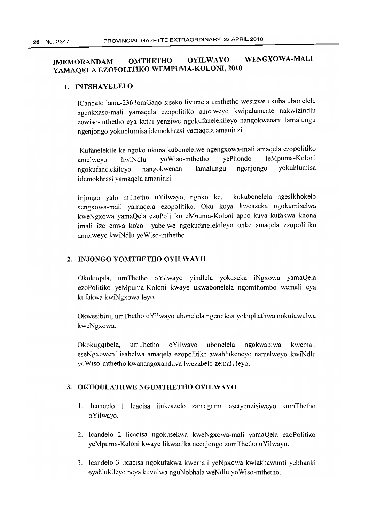## IMEMORANDAM OMTHETHO OYILWAYO WENGXOWA-MALI YAMAQELA EZOPOLITIKO WEMPUMA-KOLONI, 2010

### 1. INTSHAYELELO

ICandelo lama-236 lomGaqo-siseko livumela umthetho wesizwe ukuba ubonelele ngenkxaso-mali yamaqela ezopolitiko amelweyo kwipalamente nakwizindlu zowiso-mthetho eya kuthi yenziwe ngokufanelekileyo nangokwenani lamalungu ngenjongo yokuhlumisa idemokhrasi yamaqela amaninzi.

Kufanelekile ke ngoko ukuba kubonelelwe ngengxowa-mali amaqela ezopolitiko amelweyo kwiNdlu yoWiso-mthetho yePhondo leMpuma-Koloni ngokufanelekileyo nangokwenani lamalungu ngenjongo yokuhlumisa idemokhrasi yamaqela amaninzi.

Injongo yalo mThetho uYilwayo, ngoko ke, kukubonelela ngesikhokelo sengxowa-mali yamaqela ezopolitiko. Oku kuya kwenzeka ngokumiselwa kweNgxowa yamaQela ezoPolitiko eMpuma-Koloni apho kuya kufakwa khona imali ize emva koko yabelwe ngokufanelekileyo onke amaqela ezopolitiko amelweyo kwiNdlu yoWiso-mthetho.

### 2. INJONGO YOMTHETHO OYILWAYO

Okokuqala, umThetho oYilwayo yindlela yokuseka iNgxowa yamaQela ezoPolitiko yeMpuma-Koloni kwaye ukwabonelela ngomthombo wemali eya kufakwa kwiNgxowa leyo.

Okwesibini, umThetho oYilwayo ubonelela ngendlela yokuphathwa nokulawulwa kweNgxowa.

Okokugqibela, umThetho oYiJwayo ubonelela ngokwabiwa kwemali eseNgxoweni isabelwa amaqela ezopolitiko awahlukeneyo namelweyo kwiNdlu yoWiso-mthetho kwanangoxanduva Iwezabelo zemali leyo.

### 3. OKUQULATHWE NGUMTHETHO OYILWAYO

- 1. Icandelo 1 lcacisa iinkcazelo zamagama asetyenzisiweyo kumThetho oYilwayo.
- 2. Icandelo 2 licacisa ngokusekwa kweNgxowa-mali yamaQela ezoPolitiko yeMpuma-Koloni kwaye likwanika neenjongo zomThetho oYilwayo.
- 3. Icandelo 3 licacisa ngokufakwa kwemali yeNgxowa kwiakhawunti yebhanki eyahlukileyo neya kuvulwa nguNobhala weNdlu yoWiso-mthetho.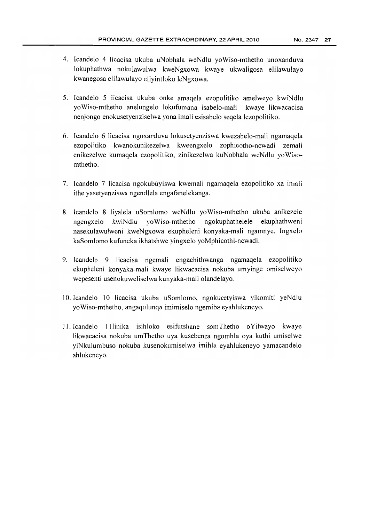- 4. Icandelo 4 Iicacisa ukuba uNobhala weNdlu yoWiso-mthetho unoxanduva lokuphathwa nokulawulwa kweNgxowa kwaye ukwaligosa elilawulayo kwanegosa elilawulayo eliyintloko leNgxowa.
- 5. Icandelo 5 licacisa ukuba onke amaqela ezopolitiko amelweyo kwiNdlu yoWiso-mthetho anelungelo lokufumana isabelo-mali kwaye likwacacisa nenjongo enokusetyenziselwa yona imali esisabelo seqela lezopolitiko.
- 6. Icandelo 6 licacisa ngoxanduva lokusetyenziswa kwezabelo-mali ngamaqela ezopolitiko kwanokunikezelwa kweengxelo zophicotho-ncwadi zemali enikezelwe kumaqela ezopolitiko, zinikezelwa kuNobhala weNdlu yoWisomthetho.
- 7. Icandelo 7 licacisa ngokubuyiswa kwemali ngamaqela ezopolitiko xa imali ithe yasetyenziswa ngendlela engafanelekanga.
- 8. Icandelo 8 liyalela uSomlomo weNdlu yoWiso-mthetho ukuba anikezele ngengxelo kwiNdlu yoWiso-mthetho ngokuphathelele ekuphathweni nasekulawulweni kweNgxowa ekupheleni konyaka-mali ngamnye. Ingxelo kaSomlomo kufuneka ikhatshwe yingxelo yoMphicothi-ncwadi.
- 9. Icandelo 9 licacisa ngemali engachithwanga ngamaqela ezopolitiko ekupheleni konyaka-mali kwaye likwacacisa nokuba umyinge omiselweyo wepesenti usenokuweliselwa kunyaka-mali olandelayo.
- 10. Icandelo 10 licacisa ukuba uSomlomo, ngokucetyiswa yikomiti yeNdJu yoWiso-rnthetho, angaqulunqa imimiselo ngemiba eyahlukeneyo.
- 11. Icandelo 11linika isihloko esifutshane somThetho oYilwayo kwaye likwacacisa nokuba umThetho uya kusebenza ngomhla oya kuthi umiselwe yiNkulumbuso nokuba kusenokumiselwa imihla eyahlukeneyo yamacandelo ahlukeneyo.